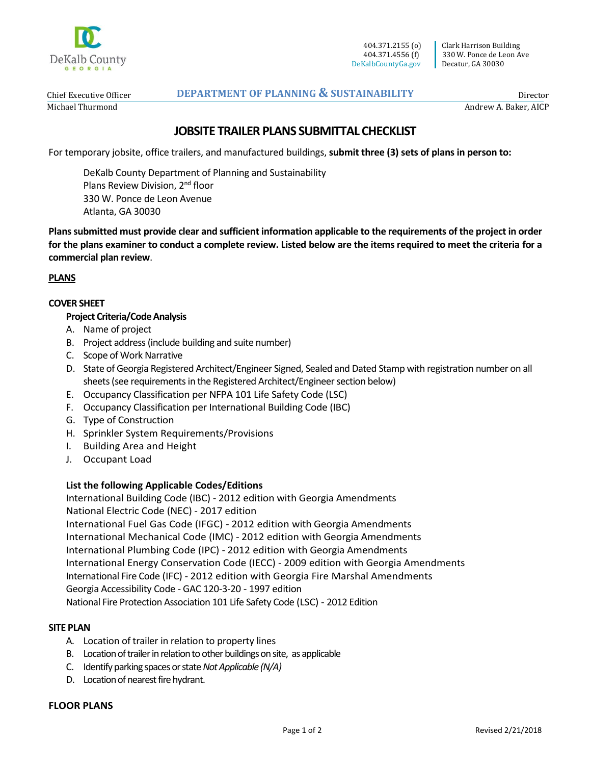

Clark Harrison Building 330 W. Ponce de Leon Ave Decatur, GA 30030

Chief Executive Officer Michael Thurmond

# **DEPARTMENT OF PLANNING & SUSTAINABILITY**

Director Andrew A. Baker, AICP

# **JOBSITE TRAILER PLANS SUBMITTAL CHECKLIST**

For temporary jobsite, office trailers, and manufactured buildings, **submit three (3) sets of plans in person to:**

DeKalb County Department of Planning and Sustainability Plans Review Division, 2<sup>nd</sup> floor 330 W. Ponce de Leon Avenue Atlanta, GA 30030

**Plans submitted must provide clear and sufficient information applicable to the requirements of the project in order for the plans examiner to conduct a complete review. Listed below are the items required to meet the criteria for a commercial plan review**.

# **PLANS**

## **COVER SHEET**

## **Project Criteria/Code Analysis**

- A. Name of project
- B. Project address (include building and suite number)
- C. Scope of Work Narrative
- D. State of Georgia Registered Architect/Engineer Signed, Sealed and Dated Stamp with registration number on all sheets (see requirements in the Registered Architect/Engineer section below)
- E. Occupancy Classification per NFPA 101 Life Safety Code (LSC)
- F. Occupancy Classification per International Building Code (IBC)
- G. Type of Construction
- H. Sprinkler System Requirements/Provisions
- I. Building Area and Height
- J. Occupant Load

#### **List the following Applicable Codes/Editions**

International Building Code (IBC) - 2012 edition with Georgia Amendments National Electric Code (NEC) - 2017 edition International Fuel Gas Code (IFGC) - 2012 edition with Georgia Amendments International Mechanical Code (IMC) - 2012 edition with Georgia Amendments International Plumbing Code (IPC) - 2012 edition with Georgia Amendments International Energy Conservation Code (IECC) - 2009 edition with Georgia Amendments International Fire Code (IFC) - 2012 edition with Georgia Fire Marshal Amendments Georgia Accessibility Code - GAC 120-3-20 - 1997 edition National Fire Protection Association 101 Life Safety Code (LSC) - 2012 Edition

#### **SITE PLAN**

- A. Location of trailer in relation to property lines
- B. Location of trailer in relation to other buildings on site, as applicable
- C. Identify parking spaces or state *Not Applicable (N/A)*
- D. Location of nearest fire hydrant.

#### **FLOOR PLANS**